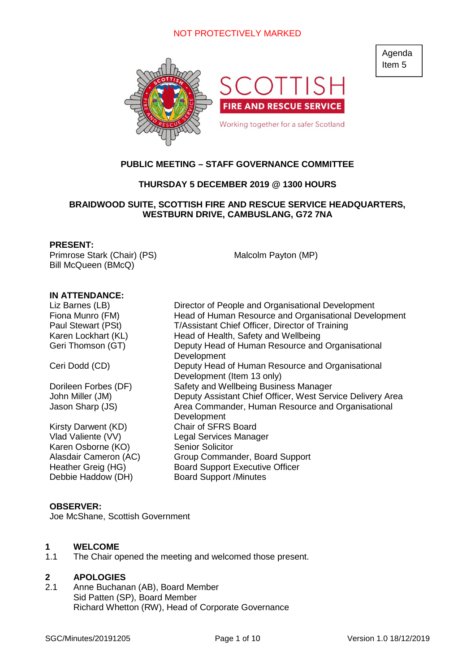

# **PUBLIC MEETING – STAFF GOVERNANCE COMMITTEE**

# **THURSDAY 5 DECEMBER 2019 @ 1300 HOURS**

# **BRAIDWOOD SUITE, SCOTTISH FIRE AND RESCUE SERVICE HEADQUARTERS, WESTBURN DRIVE, CAMBUSLANG, G72 7NA**

#### **PRESENT:**

Primrose Stark (Chair) (PS) Bill McQueen (BMcQ)

Malcolm Payton (MP)

## **IN ATTENDANCE:**

Kirsty Darwent (KD) Chair of SFRS Board Karen Osborne (KO) Senior Solicitor Debbie Haddow (DH) Board Support /Minutes

Liz Barnes (LB) Director of People and Organisational Development Fiona Munro (FM) Head of Human Resource and Organisational Development Paul Stewart (PSt) T/Assistant Chief Officer, Director of Training Karen Lockhart (KL) Head of Health, Safety and Wellbeing Geri Thomson (GT) Deputy Head of Human Resource and Organisational **Development** Ceri Dodd (CD) Deputy Head of Human Resource and Organisational Development (Item 13 only) Dorileen Forbes (DF) Safety and Wellbeing Business Manager John Miller (JM) Deputy Assistant Chief Officer, West Service Delivery Area Jason Sharp (JS) Area Commander, Human Resource and Organisational **Development** Vlad Valiente (VV) Legal Services Manager Alasdair Cameron (AC) Group Commander, Board Support Heather Greig (HG) Board Support Executive Officer

## **OBSERVER:**

Joe McShane, Scottish Government

## **1 WELCOME**

1.1 The Chair opened the meeting and welcomed those present.

# **2 APOLOGIES**

2.1 Anne Buchanan (AB), Board Member Sid Patten (SP), Board Member Richard Whetton (RW), Head of Corporate Governance Agenda Item 5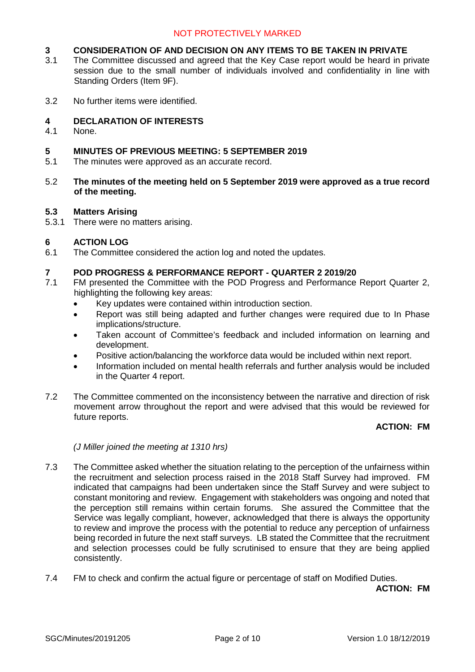# **3 CONSIDERATION OF AND DECISION ON ANY ITEMS TO BE TAKEN IN PRIVATE**<br>3.1 The Committee discussed and agreed that the Key Case report would be heard in p

- The Committee discussed and agreed that the Key Case report would be heard in private session due to the small number of individuals involved and confidentiality in line with Standing Orders (Item 9F).
- 3.2 No further items were identified.

# **4 DECLARATION OF INTERESTS**

4.1 None.

## **5 MINUTES OF PREVIOUS MEETING: 5 SEPTEMBER 2019**

- 5.1 The minutes were approved as an accurate record.
- 5.2 **The minutes of the meeting held on 5 September 2019 were approved as a true record of the meeting.**

## **5.3 Matters Arising**

5.3.1 There were no matters arising.

# **6 ACTION LOG**

6.1 The Committee considered the action log and noted the updates.

## **7 POD PROGRESS & PERFORMANCE REPORT - QUARTER 2 2019/20**

- 7.1 FM presented the Committee with the POD Progress and Performance Report Quarter 2, highlighting the following key areas:
	- Key updates were contained within introduction section.
	- Report was still being adapted and further changes were required due to In Phase implications/structure.
	- Taken account of Committee's feedback and included information on learning and development.
	- Positive action/balancing the workforce data would be included within next report.
	- Information included on mental health referrals and further analysis would be included in the Quarter 4 report.
- 7.2 The Committee commented on the inconsistency between the narrative and direction of risk movement arrow throughout the report and were advised that this would be reviewed for future reports.

## **ACTION: FM**

## *(J Miller joined the meeting at 1310 hrs)*

- 7.3 The Committee asked whether the situation relating to the perception of the unfairness within the recruitment and selection process raised in the 2018 Staff Survey had improved. FM indicated that campaigns had been undertaken since the Staff Survey and were subject to constant monitoring and review. Engagement with stakeholders was ongoing and noted that the perception still remains within certain forums. She assured the Committee that the Service was legally compliant, however, acknowledged that there is always the opportunity to review and improve the process with the potential to reduce any perception of unfairness being recorded in future the next staff surveys. LB stated the Committee that the recruitment and selection processes could be fully scrutinised to ensure that they are being applied consistently.
- 7.4 FM to check and confirm the actual figure or percentage of staff on Modified Duties.

**ACTION: FM**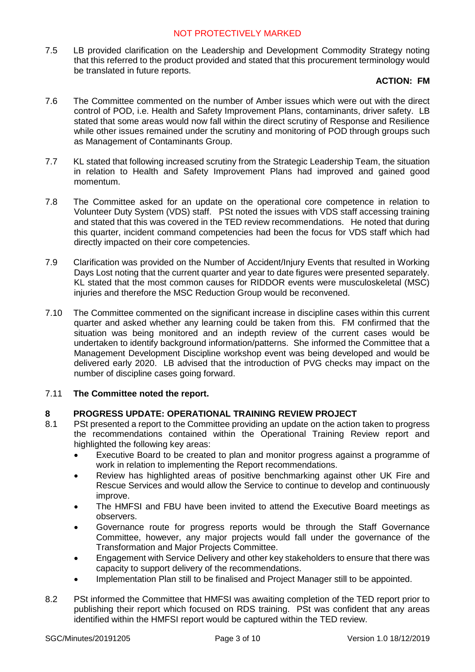7.5 LB provided clarification on the Leadership and Development Commodity Strategy noting that this referred to the product provided and stated that this procurement terminology would be translated in future reports.

# **ACTION: FM**

- 7.6 The Committee commented on the number of Amber issues which were out with the direct control of POD, i.e. Health and Safety Improvement Plans, contaminants, driver safety. LB stated that some areas would now fall within the direct scrutiny of Response and Resilience while other issues remained under the scrutiny and monitoring of POD through groups such as Management of Contaminants Group.
- 7.7 KL stated that following increased scrutiny from the Strategic Leadership Team, the situation in relation to Health and Safety Improvement Plans had improved and gained good momentum.
- 7.8 The Committee asked for an update on the operational core competence in relation to Volunteer Duty System (VDS) staff. PSt noted the issues with VDS staff accessing training and stated that this was covered in the TED review recommendations. He noted that during this quarter, incident command competencies had been the focus for VDS staff which had directly impacted on their core competencies.
- 7.9 Clarification was provided on the Number of Accident/Injury Events that resulted in Working Days Lost noting that the current quarter and year to date figures were presented separately. KL stated that the most common causes for RIDDOR events were musculoskeletal (MSC) injuries and therefore the MSC Reduction Group would be reconvened.
- 7.10 The Committee commented on the significant increase in discipline cases within this current quarter and asked whether any learning could be taken from this. FM confirmed that the situation was being monitored and an indepth review of the current cases would be undertaken to identify background information/patterns. She informed the Committee that a Management Development Discipline workshop event was being developed and would be delivered early 2020. LB advised that the introduction of PVG checks may impact on the number of discipline cases going forward.

# 7.11 **The Committee noted the report.**

# **8 PROGRESS UPDATE: OPERATIONAL TRAINING REVIEW PROJECT**

- 8.1 PSt presented a report to the Committee providing an update on the action taken to progress the recommendations contained within the Operational Training Review report and highlighted the following key areas:
	- Executive Board to be created to plan and monitor progress against a programme of work in relation to implementing the Report recommendations.
	- Review has highlighted areas of positive benchmarking against other UK Fire and Rescue Services and would allow the Service to continue to develop and continuously improve.
	- The HMFSI and FBU have been invited to attend the Executive Board meetings as observers.
	- Governance route for progress reports would be through the Staff Governance Committee, however, any major projects would fall under the governance of the Transformation and Major Projects Committee.
	- Engagement with Service Delivery and other key stakeholders to ensure that there was capacity to support delivery of the recommendations.
	- Implementation Plan still to be finalised and Project Manager still to be appointed.
- 8.2 PSt informed the Committee that HMFSI was awaiting completion of the TED report prior to publishing their report which focused on RDS training. PSt was confident that any areas identified within the HMFSI report would be captured within the TED review.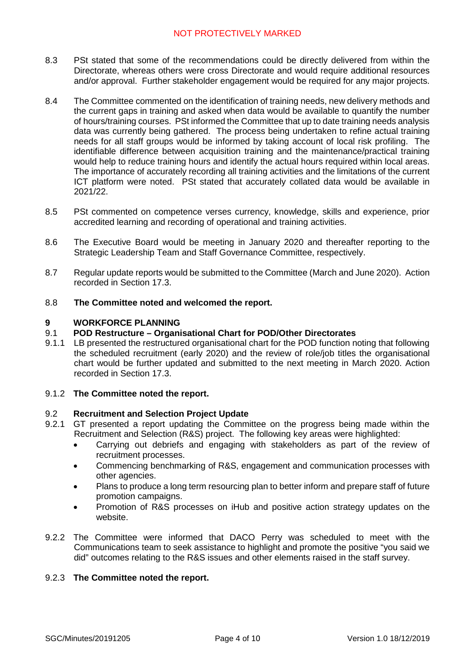- 8.3 PSt stated that some of the recommendations could be directly delivered from within the Directorate, whereas others were cross Directorate and would require additional resources and/or approval. Further stakeholder engagement would be required for any major projects.
- 8.4 The Committee commented on the identification of training needs, new delivery methods and the current gaps in training and asked when data would be available to quantify the number of hours/training courses. PSt informed the Committee that up to date training needs analysis data was currently being gathered. The process being undertaken to refine actual training needs for all staff groups would be informed by taking account of local risk profiling. The identifiable difference between acquisition training and the maintenance/practical training would help to reduce training hours and identify the actual hours required within local areas. The importance of accurately recording all training activities and the limitations of the current ICT platform were noted. PSt stated that accurately collated data would be available in 2021/22.
- 8.5 PSt commented on competence verses currency, knowledge, skills and experience, prior accredited learning and recording of operational and training activities.
- 8.6 The Executive Board would be meeting in January 2020 and thereafter reporting to the Strategic Leadership Team and Staff Governance Committee, respectively.
- 8.7 Regular update reports would be submitted to the Committee (March and June 2020). Action recorded in Section 17.3.
- 8.8 **The Committee noted and welcomed the report.**

# **9 WORKFORCE PLANNING**

## 9.1 **POD Restructure – Organisational Chart for POD/Other Directorates**

9.1.1 LB presented the restructured organisational chart for the POD function noting that following the scheduled recruitment (early 2020) and the review of role/job titles the organisational chart would be further updated and submitted to the next meeting in March 2020. Action recorded in Section 17.3.

## 9.1.2 **The Committee noted the report.**

## 9.2 **Recruitment and Selection Project Update**

- 9.2.1 GT presented a report updating the Committee on the progress being made within the Recruitment and Selection (R&S) project. The following key areas were highlighted:
	- Carrying out debriefs and engaging with stakeholders as part of the review of recruitment processes.
	- Commencing benchmarking of R&S, engagement and communication processes with other agencies.
	- Plans to produce a long term resourcing plan to better inform and prepare staff of future promotion campaigns.
	- Promotion of R&S processes on iHub and positive action strategy updates on the website.
- 9.2.2 The Committee were informed that DACO Perry was scheduled to meet with the Communications team to seek assistance to highlight and promote the positive "you said we did" outcomes relating to the R&S issues and other elements raised in the staff survey.

## 9.2.3 **The Committee noted the report.**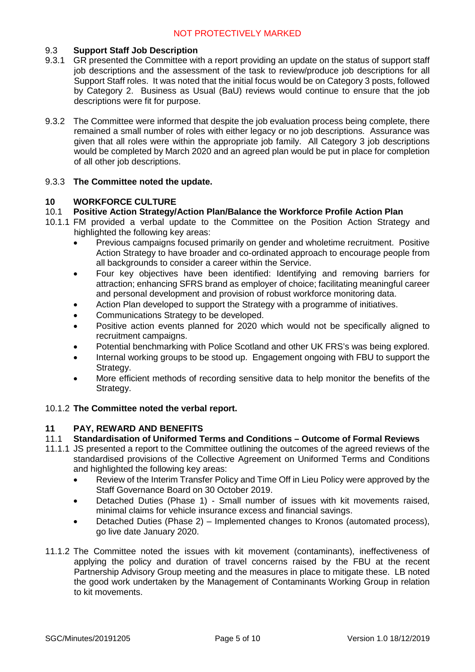# 9.3 **Support Staff Job Description**

- 9.3.1 GR presented the Committee with a report providing an update on the status of support staff job descriptions and the assessment of the task to review/produce job descriptions for all Support Staff roles. It was noted that the initial focus would be on Category 3 posts, followed by Category 2. Business as Usual (BaU) reviews would continue to ensure that the job descriptions were fit for purpose.
- 9.3.2 The Committee were informed that despite the job evaluation process being complete, there remained a small number of roles with either legacy or no job descriptions. Assurance was given that all roles were within the appropriate job family. All Category 3 job descriptions would be completed by March 2020 and an agreed plan would be put in place for completion of all other job descriptions.

# 9.3.3 **The Committee noted the update.**

# **10 WORKFORCE CULTURE**

# 10.1 **Positive Action Strategy/Action Plan/Balance the Workforce Profile Action Plan**

- 10.1.1 FM provided a verbal update to the Committee on the Position Action Strategy and highlighted the following key areas:
	- Previous campaigns focused primarily on gender and wholetime recruitment. Positive Action Strategy to have broader and co-ordinated approach to encourage people from all backgrounds to consider a career within the Service.
	- Four key objectives have been identified: Identifying and removing barriers for attraction; enhancing SFRS brand as employer of choice; facilitating meaningful career and personal development and provision of robust workforce monitoring data.
	- Action Plan developed to support the Strategy with a programme of initiatives.
	- Communications Strategy to be developed.
	- Positive action events planned for 2020 which would not be specifically aligned to recruitment campaigns.
	- Potential benchmarking with Police Scotland and other UK FRS's was being explored.
	- Internal working groups to be stood up. Engagement ongoing with FBU to support the Strategy.
	- More efficient methods of recording sensitive data to help monitor the benefits of the Strategy.

# 10.1.2 **The Committee noted the verbal report.**

## **11 PAY, REWARD AND BENEFITS**

- 11.1 **Standardisation of Uniformed Terms and Conditions Outcome of Formal Reviews**
- 11.1.1 JS presented a report to the Committee outlining the outcomes of the agreed reviews of the standardised provisions of the Collective Agreement on Uniformed Terms and Conditions and highlighted the following key areas:
	- Review of the Interim Transfer Policy and Time Off in Lieu Policy were approved by the Staff Governance Board on 30 October 2019.
	- Detached Duties (Phase 1) Small number of issues with kit movements raised, minimal claims for vehicle insurance excess and financial savings.
	- Detached Duties (Phase 2) Implemented changes to Kronos (automated process), go live date January 2020.
- 11.1.2 The Committee noted the issues with kit movement (contaminants), ineffectiveness of applying the policy and duration of travel concerns raised by the FBU at the recent Partnership Advisory Group meeting and the measures in place to mitigate these. LB noted the good work undertaken by the Management of Contaminants Working Group in relation to kit movements.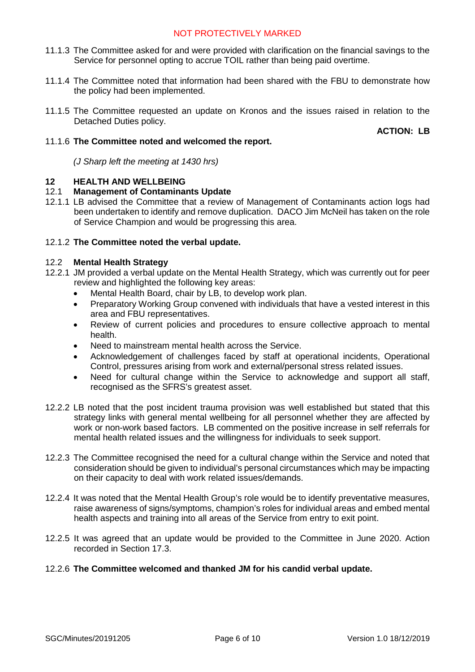- 11.1.3 The Committee asked for and were provided with clarification on the financial savings to the Service for personnel opting to accrue TOIL rather than being paid overtime.
- 11.1.4 The Committee noted that information had been shared with the FBU to demonstrate how the policy had been implemented.
- 11.1.5 The Committee requested an update on Kronos and the issues raised in relation to the Detached Duties policy.

**ACTION: LB**

## 11.1.6 **The Committee noted and welcomed the report.**

*(J Sharp left the meeting at 1430 hrs)*

# **12 HEALTH AND WELLBEING**

# 12.1 **Management of Contaminants Update**

12.1.1 LB advised the Committee that a review of Management of Contaminants action logs had been undertaken to identify and remove duplication. DACO Jim McNeil has taken on the role of Service Champion and would be progressing this area.

# 12.1.2 **The Committee noted the verbal update.**

## 12.2 **Mental Health Strategy**

- 12.2.1 JM provided a verbal update on the Mental Health Strategy, which was currently out for peer review and highlighted the following key areas:
	- Mental Health Board, chair by LB, to develop work plan.
	- Preparatory Working Group convened with individuals that have a vested interest in this area and FBU representatives.
	- Review of current policies and procedures to ensure collective approach to mental health.
	- Need to mainstream mental health across the Service.
	- Acknowledgement of challenges faced by staff at operational incidents, Operational Control, pressures arising from work and external/personal stress related issues.
	- Need for cultural change within the Service to acknowledge and support all staff, recognised as the SFRS's greatest asset.
- 12.2.2 LB noted that the post incident trauma provision was well established but stated that this strategy links with general mental wellbeing for all personnel whether they are affected by work or non-work based factors. LB commented on the positive increase in self referrals for mental health related issues and the willingness for individuals to seek support.
- 12.2.3 The Committee recognised the need for a cultural change within the Service and noted that consideration should be given to individual's personal circumstances which may be impacting on their capacity to deal with work related issues/demands.
- 12.2.4 It was noted that the Mental Health Group's role would be to identify preventative measures, raise awareness of signs/symptoms, champion's roles for individual areas and embed mental health aspects and training into all areas of the Service from entry to exit point.
- 12.2.5 It was agreed that an update would be provided to the Committee in June 2020. Action recorded in Section 17.3.

## 12.2.6 **The Committee welcomed and thanked JM for his candid verbal update.**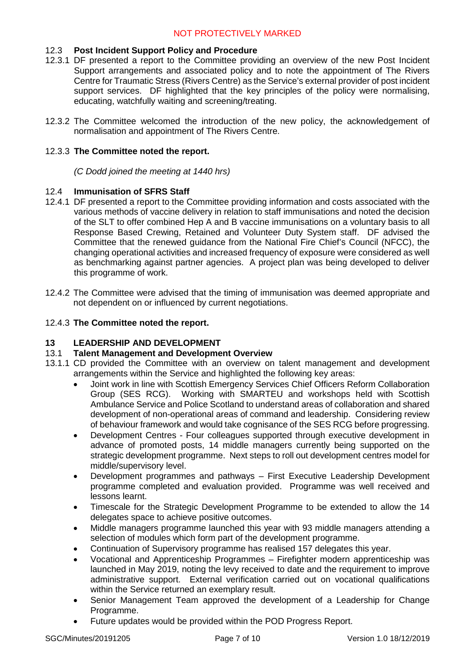# 12.3 **Post Incident Support Policy and Procedure**

- 12.3.1 DF presented a report to the Committee providing an overview of the new Post Incident Support arrangements and associated policy and to note the appointment of The Rivers Centre for Traumatic Stress (Rivers Centre) as the Service's external provider of post incident support services. DF highlighted that the key principles of the policy were normalising, educating, watchfully waiting and screening/treating.
- 12.3.2 The Committee welcomed the introduction of the new policy, the acknowledgement of normalisation and appointment of The Rivers Centre.

# 12.3.3 **The Committee noted the report.**

*(C Dodd joined the meeting at 1440 hrs)*

# 12.4 **Immunisation of SFRS Staff**

- 12.4.1 DF presented a report to the Committee providing information and costs associated with the various methods of vaccine delivery in relation to staff immunisations and noted the decision of the SLT to offer combined Hep A and B vaccine immunisations on a voluntary basis to all Response Based Crewing, Retained and Volunteer Duty System staff. DF advised the Committee that the renewed guidance from the National Fire Chief's Council (NFCC), the changing operational activities and increased frequency of exposure were considered as well as benchmarking against partner agencies. A project plan was being developed to deliver this programme of work.
- 12.4.2 The Committee were advised that the timing of immunisation was deemed appropriate and not dependent on or influenced by current negotiations.

## 12.4.3 **The Committee noted the report.**

## **13 LEADERSHIP AND DEVELOPMENT**

## 13.1 **Talent Management and Development Overview**

- 13.1.1 CD provided the Committee with an overview on talent management and development arrangements within the Service and highlighted the following key areas:
	- Joint work in line with Scottish Emergency Services Chief Officers Reform Collaboration Group (SES RCG). Working with SMARTEU and workshops held with Scottish Ambulance Service and Police Scotland to understand areas of collaboration and shared development of non-operational areas of command and leadership. Considering review of behaviour framework and would take cognisance of the SES RCG before progressing.
	- Development Centres Four colleagues supported through executive development in advance of promoted posts, 14 middle managers currently being supported on the strategic development programme. Next steps to roll out development centres model for middle/supervisory level.
	- Development programmes and pathways First Executive Leadership Development programme completed and evaluation provided. Programme was well received and lessons learnt.
	- Timescale for the Strategic Development Programme to be extended to allow the 14 delegates space to achieve positive outcomes.
	- Middle managers programme launched this year with 93 middle managers attending a selection of modules which form part of the development programme.
	- Continuation of Supervisory programme has realised 157 delegates this year.
	- Vocational and Apprenticeship Programmes Firefighter modern apprenticeship was launched in May 2019, noting the levy received to date and the requirement to improve administrative support. External verification carried out on vocational qualifications within the Service returned an exemplary result.
	- Senior Management Team approved the development of a Leadership for Change Programme.
	- Future updates would be provided within the POD Progress Report.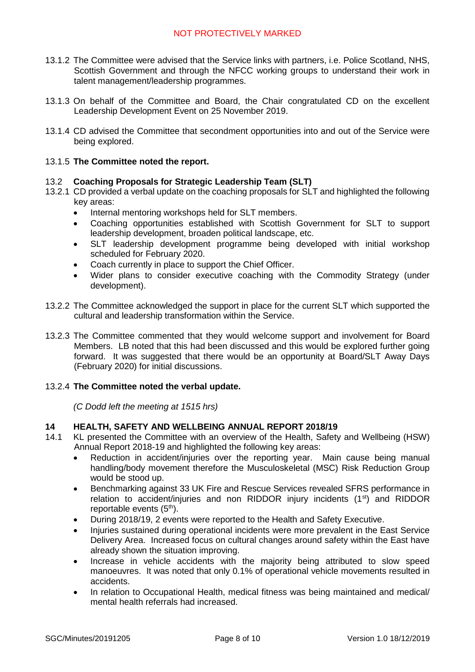- 13.1.2 The Committee were advised that the Service links with partners, i.e. Police Scotland, NHS, Scottish Government and through the NFCC working groups to understand their work in talent management/leadership programmes.
- 13.1.3 On behalf of the Committee and Board, the Chair congratulated CD on the excellent Leadership Development Event on 25 November 2019.
- 13.1.4 CD advised the Committee that secondment opportunities into and out of the Service were being explored.

# 13.1.5 **The Committee noted the report.**

## 13.2 **Coaching Proposals for Strategic Leadership Team (SLT)**

- 13.2.1 CD provided a verbal update on the coaching proposals for SLT and highlighted the following key areas:
	- Internal mentoring workshops held for SLT members.
	- Coaching opportunities established with Scottish Government for SLT to support leadership development, broaden political landscape, etc.
	- SLT leadership development programme being developed with initial workshop scheduled for February 2020.
	- Coach currently in place to support the Chief Officer.
	- Wider plans to consider executive coaching with the Commodity Strategy (under development).
- 13.2.2 The Committee acknowledged the support in place for the current SLT which supported the cultural and leadership transformation within the Service.
- 13.2.3 The Committee commented that they would welcome support and involvement for Board Members. LB noted that this had been discussed and this would be explored further going forward. It was suggested that there would be an opportunity at Board/SLT Away Days (February 2020) for initial discussions.

# 13.2.4 **The Committee noted the verbal update.**

*(C Dodd left the meeting at 1515 hrs)*

## **14 HEALTH, SAFETY AND WELLBEING ANNUAL REPORT 2018/19**

- 14.1 KL presented the Committee with an overview of the Health, Safety and Wellbeing (HSW) Annual Report 2018-19 and highlighted the following key areas:
	- Reduction in accident/injuries over the reporting year. Main cause being manual handling/body movement therefore the Musculoskeletal (MSC) Risk Reduction Group would be stood up.
	- Benchmarking against 33 UK Fire and Rescue Services revealed SFRS performance in relation to accident/injuries and non RIDDOR injury incidents  $(1<sup>st</sup>)$  and RIDDOR reportable events  $(5<sup>th</sup>)$ .
	- During 2018/19, 2 events were reported to the Health and Safety Executive.
	- Injuries sustained during operational incidents were more prevalent in the East Service Delivery Area. Increased focus on cultural changes around safety within the East have already shown the situation improving.
	- Increase in vehicle accidents with the majority being attributed to slow speed manoeuvres. It was noted that only 0.1% of operational vehicle movements resulted in accidents.
	- In relation to Occupational Health, medical fitness was being maintained and medical/ mental health referrals had increased.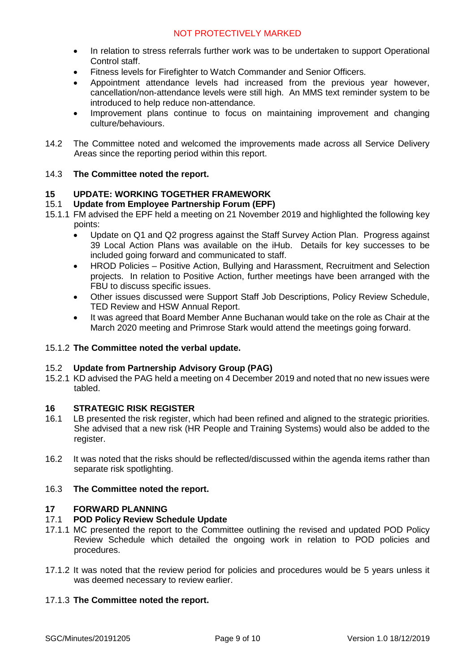- In relation to stress referrals further work was to be undertaken to support Operational Control staff.
- Fitness levels for Firefighter to Watch Commander and Senior Officers.
- Appointment attendance levels had increased from the previous year however, cancellation/non-attendance levels were still high. An MMS text reminder system to be introduced to help reduce non-attendance.
- Improvement plans continue to focus on maintaining improvement and changing culture/behaviours.
- 14.2 The Committee noted and welcomed the improvements made across all Service Delivery Areas since the reporting period within this report.

# 14.3 **The Committee noted the report.**

# **15 UPDATE: WORKING TOGETHER FRAMEWORK**

# 15.1 **Update from Employee Partnership Forum (EPF)**

- 15.1.1 FM advised the EPF held a meeting on 21 November 2019 and highlighted the following key points:
	- Update on Q1 and Q2 progress against the Staff Survey Action Plan. Progress against 39 Local Action Plans was available on the iHub. Details for key successes to be included going forward and communicated to staff.
	- HROD Policies Positive Action, Bullying and Harassment, Recruitment and Selection projects. In relation to Positive Action, further meetings have been arranged with the FBU to discuss specific issues.
	- Other issues discussed were Support Staff Job Descriptions, Policy Review Schedule, TED Review and HSW Annual Report.
	- It was agreed that Board Member Anne Buchanan would take on the role as Chair at the March 2020 meeting and Primrose Stark would attend the meetings going forward.

# 15.1.2 **The Committee noted the verbal update.**

## 15.2 **Update from Partnership Advisory Group (PAG)**

15.2.1 KD advised the PAG held a meeting on 4 December 2019 and noted that no new issues were tabled.

# **16 STRATEGIC RISK REGISTER**

- 16.1 LB presented the risk register, which had been refined and aligned to the strategic priorities. She advised that a new risk (HR People and Training Systems) would also be added to the register.
- 16.2 It was noted that the risks should be reflected/discussed within the agenda items rather than separate risk spotlighting.

## 16.3 **The Committee noted the report.**

## **17 FORWARD PLANNING**

## 17.1 **POD Policy Review Schedule Update**

- 17.1.1 MC presented the report to the Committee outlining the revised and updated POD Policy Review Schedule which detailed the ongoing work in relation to POD policies and procedures.
- 17.1.2 It was noted that the review period for policies and procedures would be 5 years unless it was deemed necessary to review earlier.

# 17.1.3 **The Committee noted the report.**